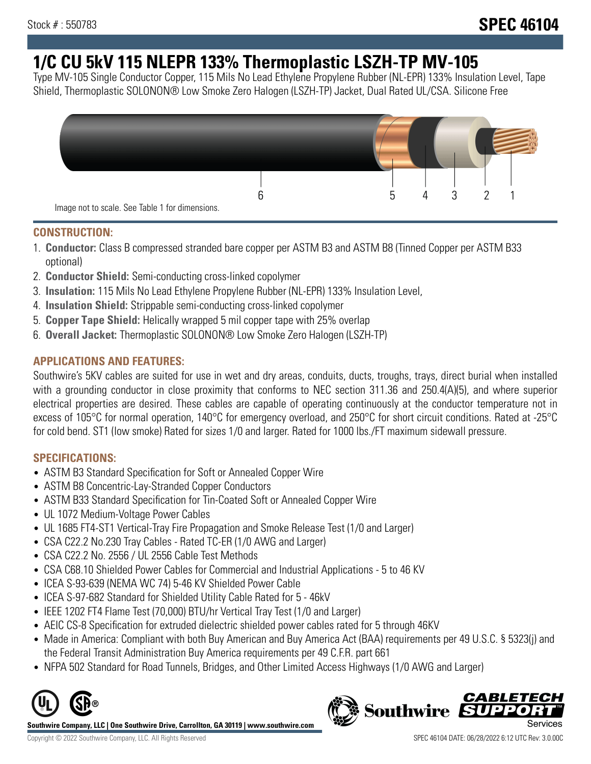# **1/C CU 5kV 115 NLEPR 133% Thermoplastic LSZH-TP MV-105**

Type MV-105 Single Conductor Copper, 115 Mils No Lead Ethylene Propylene Rubber (NL-EPR) 133% Insulation Level, Tape Shield, Thermoplastic SOLONON® Low Smoke Zero Halogen (LSZH-TP) Jacket, Dual Rated UL/CSA. Silicone Free



#### **CONSTRUCTION:**

- 1. **Conductor:** Class B compressed stranded bare copper per ASTM B3 and ASTM B8 (Tinned Copper per ASTM B33 optional)
- 2. **Conductor Shield:** Semi-conducting cross-linked copolymer
- 3. **Insulation:** 115 Mils No Lead Ethylene Propylene Rubber (NL-EPR) 133% Insulation Level,
- 4. **Insulation Shield:** Strippable semi-conducting cross-linked copolymer
- 5. **Copper Tape Shield:** Helically wrapped 5 mil copper tape with 25% overlap
- 6. **Overall Jacket:** Thermoplastic SOLONON® Low Smoke Zero Halogen (LSZH-TP)

## **APPLICATIONS AND FEATURES:**

Southwire's 5KV cables are suited for use in wet and dry areas, conduits, ducts, troughs, trays, direct burial when installed with a grounding conductor in close proximity that conforms to NEC section 311.36 and 250.4(A)(5), and where superior electrical properties are desired. These cables are capable of operating continuously at the conductor temperature not in excess of 105°C for normal operation, 140°C for emergency overload, and 250°C for short circuit conditions. Rated at -25°C for cold bend. ST1 (low smoke) Rated for sizes 1/0 and larger. Rated for 1000 lbs./FT maximum sidewall pressure.

### **SPECIFICATIONS:**

- ASTM B3 Standard Specification for Soft or Annealed Copper Wire
- ASTM B8 Concentric-Lay-Stranded Copper Conductors
- ASTM B33 Standard Specification for Tin-Coated Soft or Annealed Copper Wire
- UL 1072 Medium-Voltage Power Cables
- UL 1685 FT4-ST1 Vertical-Tray Fire Propagation and Smoke Release Test (1/0 and Larger)
- CSA C22.2 No.230 Tray Cables Rated TC-ER (1/0 AWG and Larger)
- CSA C22.2 No. 2556 / UL 2556 Cable Test Methods
- CSA C68.10 Shielded Power Cables for Commercial and Industrial Applications 5 to 46 KV
- ICEA S-93-639 (NEMA WC 74) 5-46 KV Shielded Power Cable
- ICEA S-97-682 Standard for Shielded Utility Cable Rated for 5 46kV
- IEEE 1202 FT4 Flame Test (70,000) BTU/hr Vertical Tray Test (1/0 and Larger)
- AEIC CS-8 Specification for extruded dielectric shielded power cables rated for 5 through 46KV
- Made in America: Compliant with both Buy American and Buy America Act (BAA) requirements per 49 U.S.C. § 5323(j) and the Federal Transit Administration Buy America requirements per 49 C.F.R. part 661
- NFPA 502 Standard for Road Tunnels, Bridges, and Other Limited Access Highways (1/0 AWG and Larger)



**Southwire Company, LLC | One Southwire Drive, Carrollton, GA 30119 | www.southwire.com**